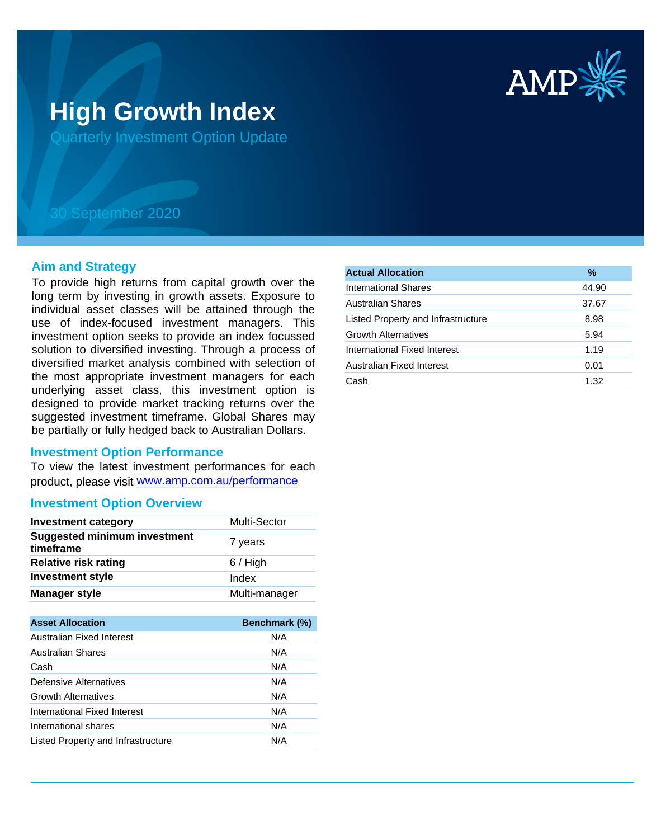

# **High Growth Index**

Quarterly Investment Option Update

## 30 September 2020

#### **Aim and Strategy**

To provide high returns from capital growth over the long term by investing in growth assets. Exposure to individual asset classes will be attained through the use of index-focused investment managers. This investment option seeks to provide an index focussed solution to diversified investing. Through a process of diversified market analysis combined with selection of the most appropriate investment managers for each underlying asset class, this investment option is designed to provide market tracking returns over the suggested investment timeframe. Global Shares may be partially or fully hedged back to Australian Dollars.

#### **Investment Option Performance**

To view the latest investment performances for each product, please visit www.amp.com.au/performance

### **Investment Option Overview**

| <b>Investment category</b>                       | Multi-Sector  |
|--------------------------------------------------|---------------|
| <b>Suggested minimum investment</b><br>timeframe | 7 years       |
| <b>Relative risk rating</b>                      | $6/$ High     |
| <b>Investment style</b>                          | Index         |
| <b>Manager style</b>                             | Multi-manager |

| <b>Asset Allocation</b>            | <b>Benchmark (%)</b> |
|------------------------------------|----------------------|
| Australian Fixed Interest          | N/A                  |
| <b>Australian Shares</b>           | N/A                  |
| Cash                               | N/A                  |
| Defensive Alternatives             | N/A                  |
| <b>Growth Alternatives</b>         | N/A                  |
| International Fixed Interest       | N/A                  |
| International shares               | N/A                  |
| Listed Property and Infrastructure | N/A                  |

| $\frac{9}{6}$ |
|---------------|
| 44.90         |
| 37.67         |
| 8.98          |
| 5.94          |
| 1.19          |
| 0.01          |
| 1.32          |
|               |